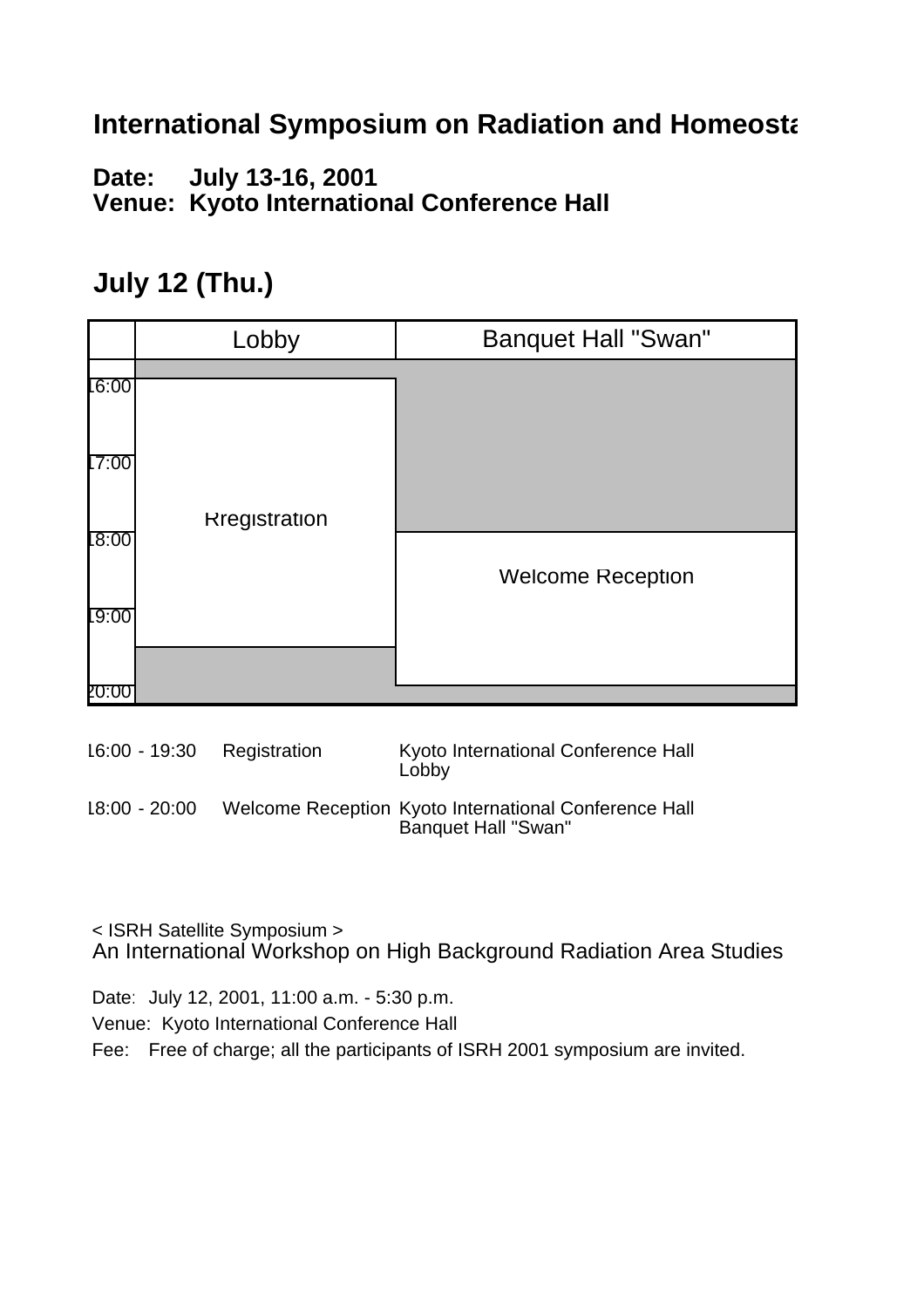#### **International Symposium on Radiation and Homeostally**

**Date: July 13-16, 2001 Venue: Kyoto International Conference Hall**

#### **July 12 (Thu.)**

|       | Lobby                | <b>Banquet Hall "Swan"</b> |
|-------|----------------------|----------------------------|
| 6:00  |                      |                            |
| 17:00 |                      |                            |
| 18:00 | <b>Rregistration</b> |                            |
| 19:00 |                      | <b>Welcome Reception</b>   |
|       |                      |                            |

| 16:00 - 19:30 Registration | Kyoto International Conference Hall<br>Lobby                                 |
|----------------------------|------------------------------------------------------------------------------|
| $18:00 - 20:00$            | Welcome Reception Kyoto International Conference Hall<br>Banquet Hall "Swan" |

< ISRH Satellite Symposium > An International Workshop on High Background Radiation Area Studies

Date: July 12, 2001, 11:00 a.m. - 5:30 p.m. Venue: Kyoto International Conference Hall Fee: Free of charge; all the participants of ISRH 2001 symposium are invited.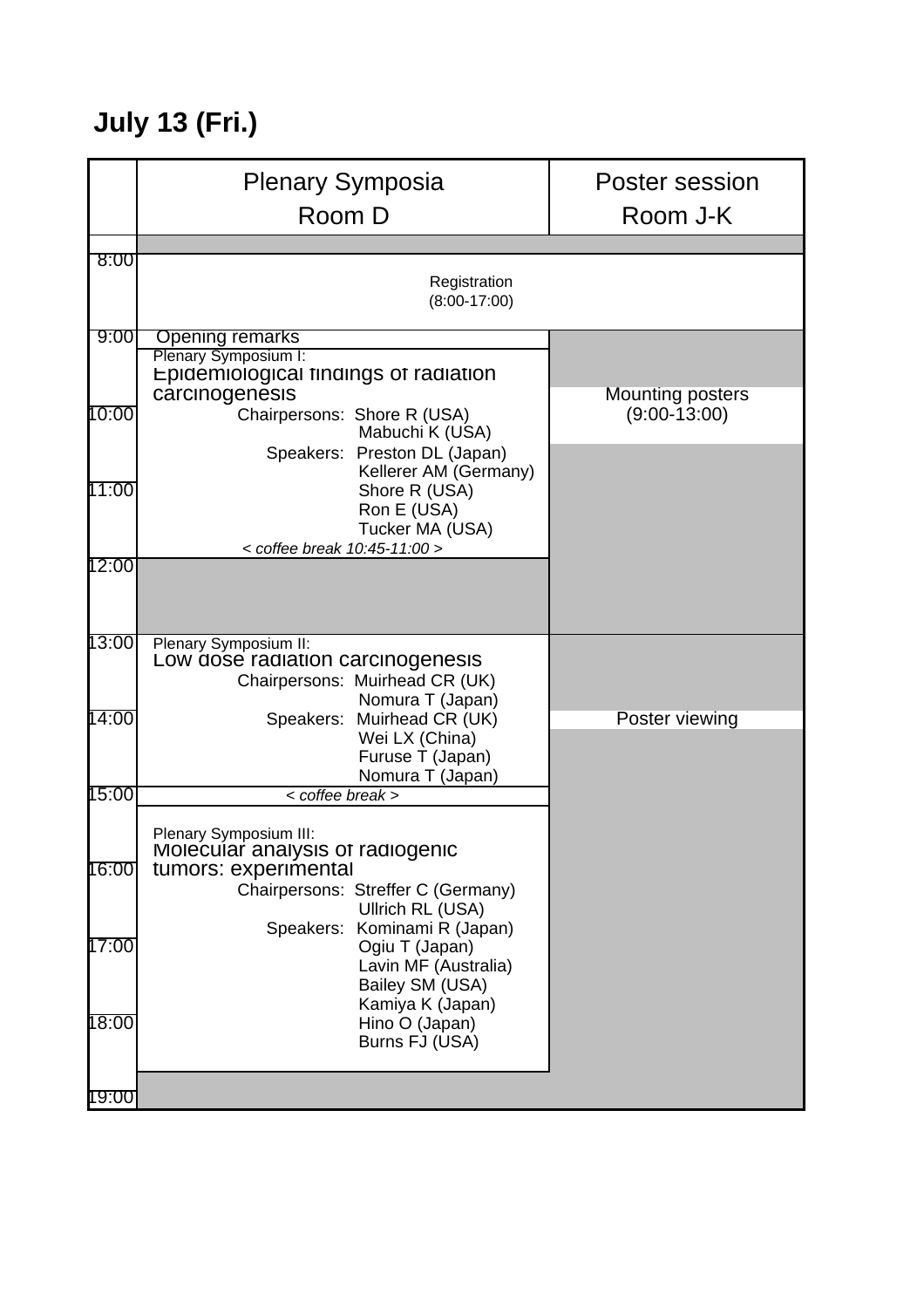# **July 13 (Fri.)**

|       | <b>Plenary Symposia</b><br>Room D                                                                                                                                            | Poster session<br>Room J-K                |
|-------|------------------------------------------------------------------------------------------------------------------------------------------------------------------------------|-------------------------------------------|
|       |                                                                                                                                                                              |                                           |
| 8:00  | Registration<br>$(8:00-17:00)$                                                                                                                                               |                                           |
| 9:00  | <b>Opening remarks</b><br>Plenary Symposium I:<br>Epidemiological findings of radiation                                                                                      |                                           |
| 10:00 | carcinogenesis<br>Chairpersons: Shore R (USA)<br>Mabuchi K (USA)                                                                                                             | <b>Mounting posters</b><br>$(9:00-13:00)$ |
| 11:00 | Speakers: Preston DL (Japan)<br>Kellerer AM (Germany)<br>Shore R (USA)<br>Ron E (USA)<br>Tucker MA (USA)<br>< coffee break 10:45-11:00 >                                     |                                           |
| 12:00 |                                                                                                                                                                              |                                           |
| 13:00 | Plenary Symposium II:<br>Low dose radiation carcinogenesis<br>Chairpersons: Muirhead CR (UK)<br>Nomura T (Japan)                                                             |                                           |
| 14:00 | Speakers: Muirhead CR (UK)<br>Wei LX (China)<br>Furuse T (Japan)<br>Nomura T (Japan)                                                                                         | Poster viewing                            |
| 15:00 | < coffee break >                                                                                                                                                             |                                           |
| 16:00 | Plenary Symposium III:<br>Molecular analysis of radiogenic<br>tumors: experimental<br>Chairpersons: Streffer C (Germany)<br>Ullrich RL (USA)<br>Speakers: Kominami R (Japan) |                                           |
| 17:00 | Ogiu T (Japan)<br>Lavin MF (Australia)<br>Bailey SM (USA)<br>Kamiya K (Japan)                                                                                                |                                           |
| 18:00 | Hino O (Japan)<br>Burns FJ (USA)                                                                                                                                             |                                           |
| 19:00 |                                                                                                                                                                              |                                           |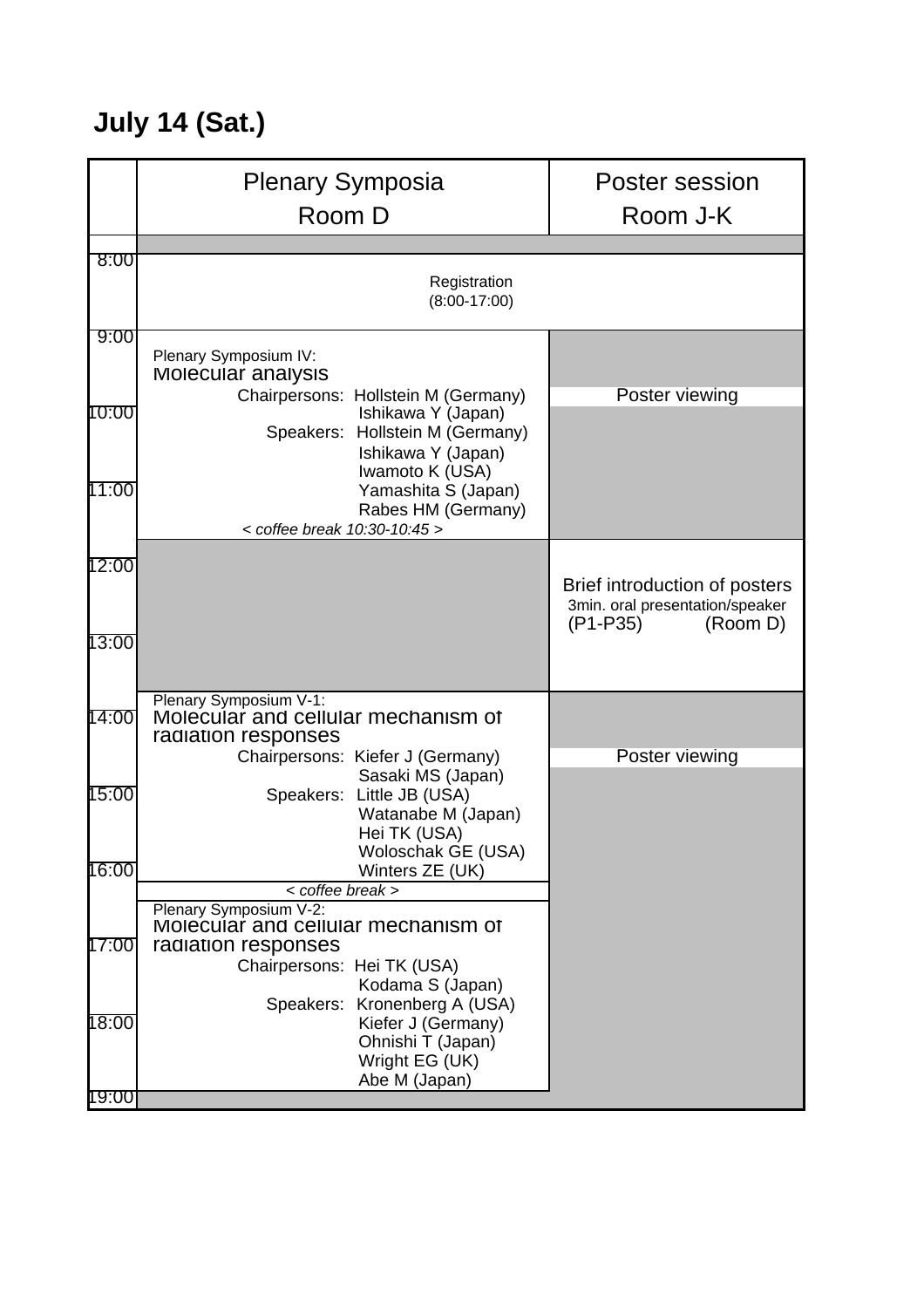# **July 14 (Sat.)**

|                | <b>Plenary Symposia</b><br>Room D                                                                                                                                                                       | Poster session<br>Room J-K                                                               |
|----------------|---------------------------------------------------------------------------------------------------------------------------------------------------------------------------------------------------------|------------------------------------------------------------------------------------------|
|                |                                                                                                                                                                                                         |                                                                                          |
| 8:00           | Registration<br>$(8:00-17:00)$                                                                                                                                                                          |                                                                                          |
| 9:00           | Plenary Symposium IV:<br>Molecular analysis                                                                                                                                                             |                                                                                          |
| 10:00          | Chairpersons: Hollstein M (Germany)<br>Ishikawa Y (Japan)<br>Speakers: Hollstein M (Germany)<br>Ishikawa Y (Japan)<br>Iwamoto K (USA)                                                                   | Poster viewing                                                                           |
| 11:00          | Yamashita S (Japan)<br>Rabes HM (Germany)<br>< coffee break 10:30-10:45 >                                                                                                                               |                                                                                          |
| 12:00          |                                                                                                                                                                                                         | Brief introduction of posters<br>3min. oral presentation/speaker<br>(P1-P35)<br>(Room D) |
| 13:00          |                                                                                                                                                                                                         |                                                                                          |
| 14:00          | Plenary Symposium V-1:<br>Molecular and cellular mechanism of<br>radiation responses                                                                                                                    |                                                                                          |
| 15:00          | Chairpersons: Kiefer J (Germany)<br>Sasaki MS (Japan)<br>Speakers: Little JB (USA)<br>Watanabe M (Japan)<br>Hei TK (USA)<br>Woloschak GE (USA)                                                          | Poster viewing                                                                           |
| 16:00          | Winters ZE (UK)                                                                                                                                                                                         |                                                                                          |
| 17:00          | $\overline{<}$ coffee break ><br>Plenary Symposium V-2:<br>Molecular and cellular mechanism of<br>radiation responses<br>Chairpersons: Hei TK (USA)<br>Kodama S (Japan)<br>Speakers: Kronenberg A (USA) |                                                                                          |
| 18:00<br>19:00 | Kiefer J (Germany)<br>Ohnishi T (Japan)<br>Wright EG (UK)<br>Abe M (Japan)                                                                                                                              |                                                                                          |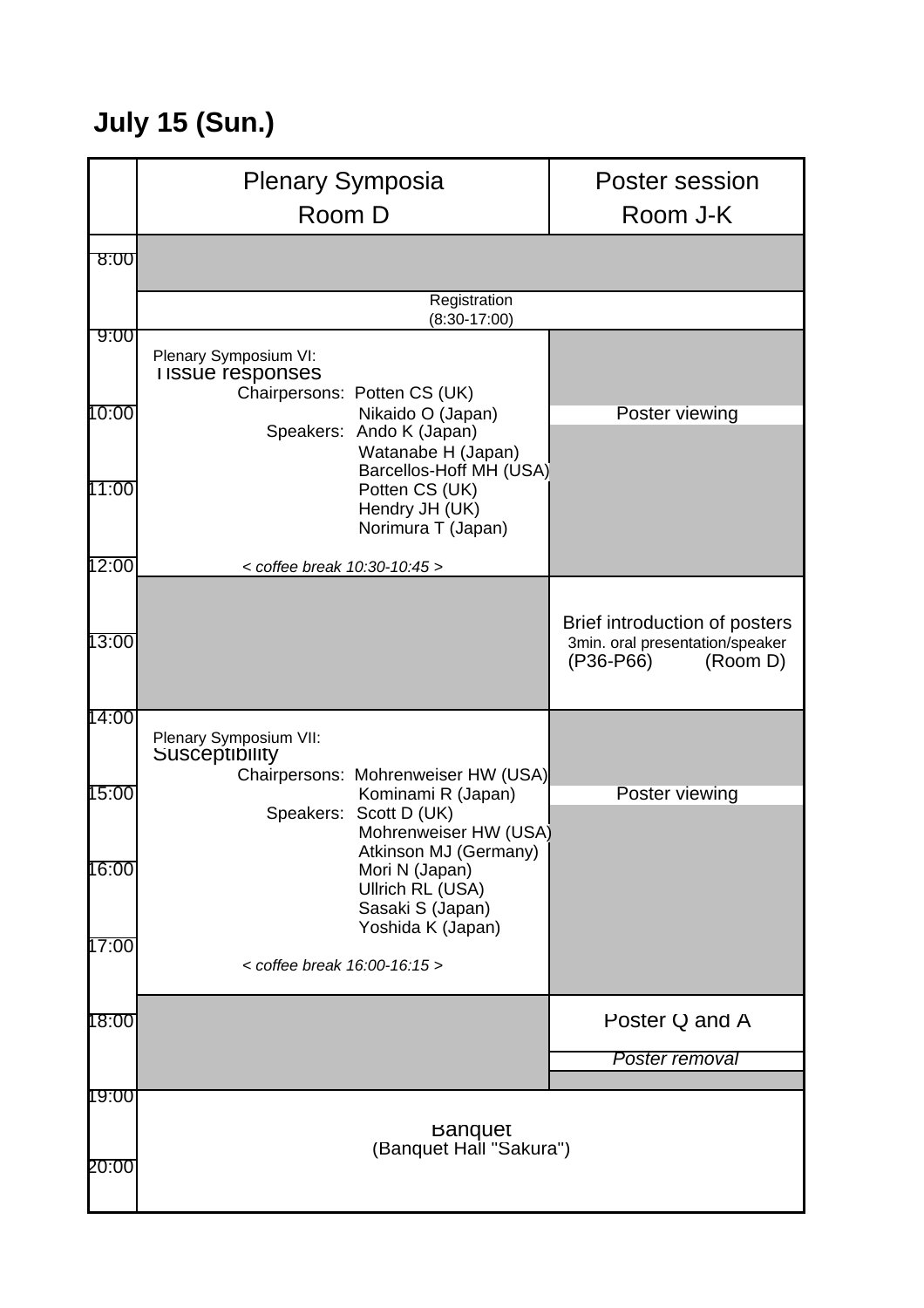### **July 15 (Sun.)**

|                | <b>Plenary Symposia</b><br>Room D                                                                                                                                                                     | Poster session<br>Room J-K                                                                |
|----------------|-------------------------------------------------------------------------------------------------------------------------------------------------------------------------------------------------------|-------------------------------------------------------------------------------------------|
| 8:00           |                                                                                                                                                                                                       |                                                                                           |
| 9:00           | Registration<br>$(8:30-17:00)$                                                                                                                                                                        |                                                                                           |
| 10:00<br>11:00 | Plenary Symposium VI:<br><b>I ISSUE responses</b><br>Chairpersons: Potten CS (UK)<br>Nikaido O (Japan)<br>Speakers: Ando K (Japan)<br>Watanabe H (Japan)<br>Barcellos-Hoff MH (USA)<br>Potten CS (UK) | Poster viewing                                                                            |
| 12:00          | Hendry JH (UK)<br>Norimura T (Japan)<br>$<$ coffee break 10:30-10:45 >                                                                                                                                |                                                                                           |
| 13:00          |                                                                                                                                                                                                       | Brief introduction of posters<br>3min. oral presentation/speaker<br>(P36-P66)<br>(Room D) |
| 14:00<br>15:00 | Plenary Symposium VII:<br>Susceptibility<br>Chairpersons: Mohrenweiser HW (USA)<br>Kominami R (Japan)<br>Speakers: Scott D (UK)<br>Mohrenweiser HW (USA)                                              | Poster viewing                                                                            |
| 16:00<br>17:00 | Atkinson MJ (Germany)  <br>Mori N (Japan)<br>Ullrich RL (USA)<br>Sasaki S (Japan)<br>Yoshida K (Japan)                                                                                                |                                                                                           |
|                | $<$ coffee break 16:00-16:15 >                                                                                                                                                                        |                                                                                           |
| 18:00          |                                                                                                                                                                                                       | Poster Q and A<br>Poster removal                                                          |
| 19:00<br>20:00 | <b>Banquet</b><br>(Banquet Hall "Sakura")                                                                                                                                                             |                                                                                           |